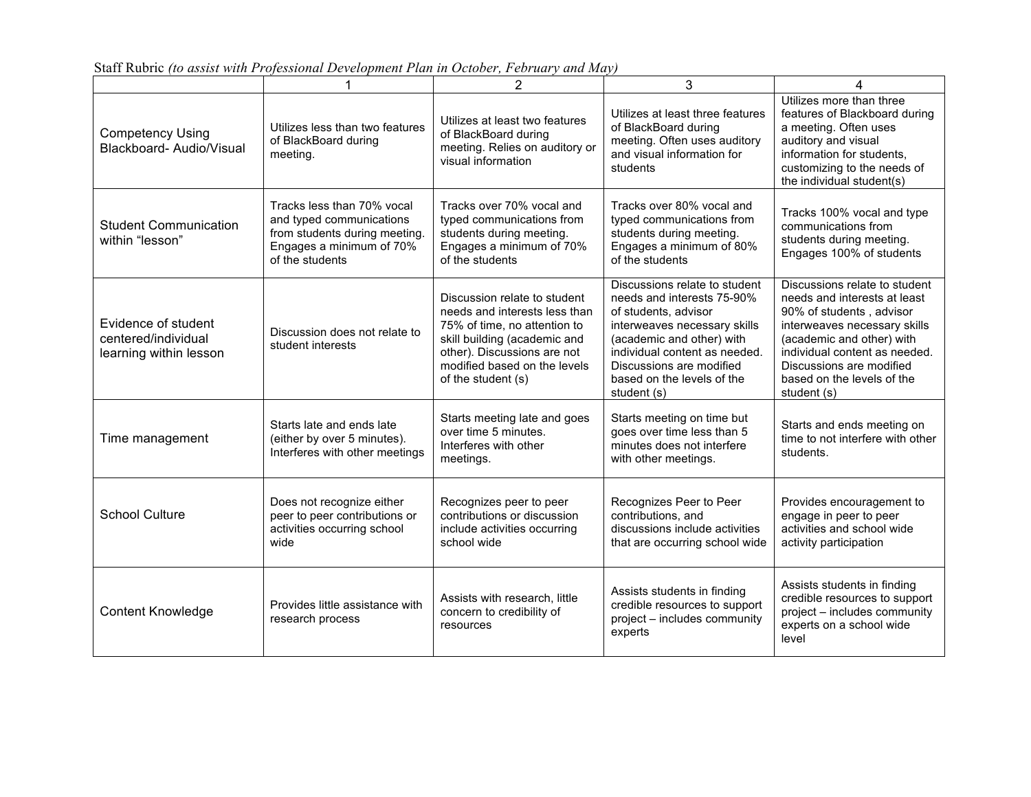|                                                                      | 1                                                                                                                                      | $\overline{2}$                                                                                                                                                                                                     | 3                                                                                                                                                                                                                                                          | 4                                                                                                                                                                                                                                                                |
|----------------------------------------------------------------------|----------------------------------------------------------------------------------------------------------------------------------------|--------------------------------------------------------------------------------------------------------------------------------------------------------------------------------------------------------------------|------------------------------------------------------------------------------------------------------------------------------------------------------------------------------------------------------------------------------------------------------------|------------------------------------------------------------------------------------------------------------------------------------------------------------------------------------------------------------------------------------------------------------------|
| <b>Competency Using</b><br>Blackboard- Audio/Visual                  | Utilizes less than two features<br>of BlackBoard during<br>meeting.                                                                    | Utilizes at least two features<br>of BlackBoard during<br>meeting. Relies on auditory or<br>visual information                                                                                                     | Utilizes at least three features<br>of BlackBoard during<br>meeting. Often uses auditory<br>and visual information for<br>students                                                                                                                         | Utilizes more than three<br>features of Blackboard during<br>a meeting. Often uses<br>auditory and visual<br>information for students.<br>customizing to the needs of<br>the individual student(s)                                                               |
| <b>Student Communication</b><br>within "lesson"                      | Tracks less than 70% vocal<br>and typed communications<br>from students during meeting.<br>Engages a minimum of 70%<br>of the students | Tracks over 70% vocal and<br>typed communications from<br>students during meeting.<br>Engages a minimum of 70%<br>of the students                                                                                  | Tracks over 80% vocal and<br>typed communications from<br>students during meeting.<br>Engages a minimum of 80%<br>of the students                                                                                                                          | Tracks 100% vocal and type<br>communications from<br>students during meeting.<br>Engages 100% of students                                                                                                                                                        |
| Evidence of student<br>centered/individual<br>learning within lesson | Discussion does not relate to<br>student interests                                                                                     | Discussion relate to student<br>needs and interests less than<br>75% of time, no attention to<br>skill building (academic and<br>other). Discussions are not<br>modified based on the levels<br>of the student (s) | Discussions relate to student<br>needs and interests 75-90%<br>of students, advisor<br>interweaves necessary skills<br>(academic and other) with<br>individual content as needed.<br>Discussions are modified<br>based on the levels of the<br>student (s) | Discussions relate to student<br>needs and interests at least<br>90% of students, advisor<br>interweaves necessary skills<br>(academic and other) with<br>individual content as needed.<br>Discussions are modified<br>based on the levels of the<br>student (s) |
| Time management                                                      | Starts late and ends late<br>(either by over 5 minutes).<br>Interferes with other meetings                                             | Starts meeting late and goes<br>over time 5 minutes.<br>Interferes with other<br>meetings.                                                                                                                         | Starts meeting on time but<br>goes over time less than 5<br>minutes does not interfere<br>with other meetings.                                                                                                                                             | Starts and ends meeting on<br>time to not interfere with other<br>students.                                                                                                                                                                                      |
| <b>School Culture</b>                                                | Does not recognize either<br>peer to peer contributions or<br>activities occurring school<br>wide                                      | Recognizes peer to peer<br>contributions or discussion<br>include activities occurring<br>school wide                                                                                                              | Recognizes Peer to Peer<br>contributions, and<br>discussions include activities<br>that are occurring school wide                                                                                                                                          | Provides encouragement to<br>engage in peer to peer<br>activities and school wide<br>activity participation                                                                                                                                                      |
| Content Knowledge                                                    | Provides little assistance with<br>research process                                                                                    | Assists with research, little<br>concern to credibility of<br>resources                                                                                                                                            | Assists students in finding<br>credible resources to support<br>project - includes community<br>experts                                                                                                                                                    | Assists students in finding<br>credible resources to support<br>project - includes community<br>experts on a school wide<br>level                                                                                                                                |

Staff Rubric *(to assist with Professional Development Plan in October, February and May)*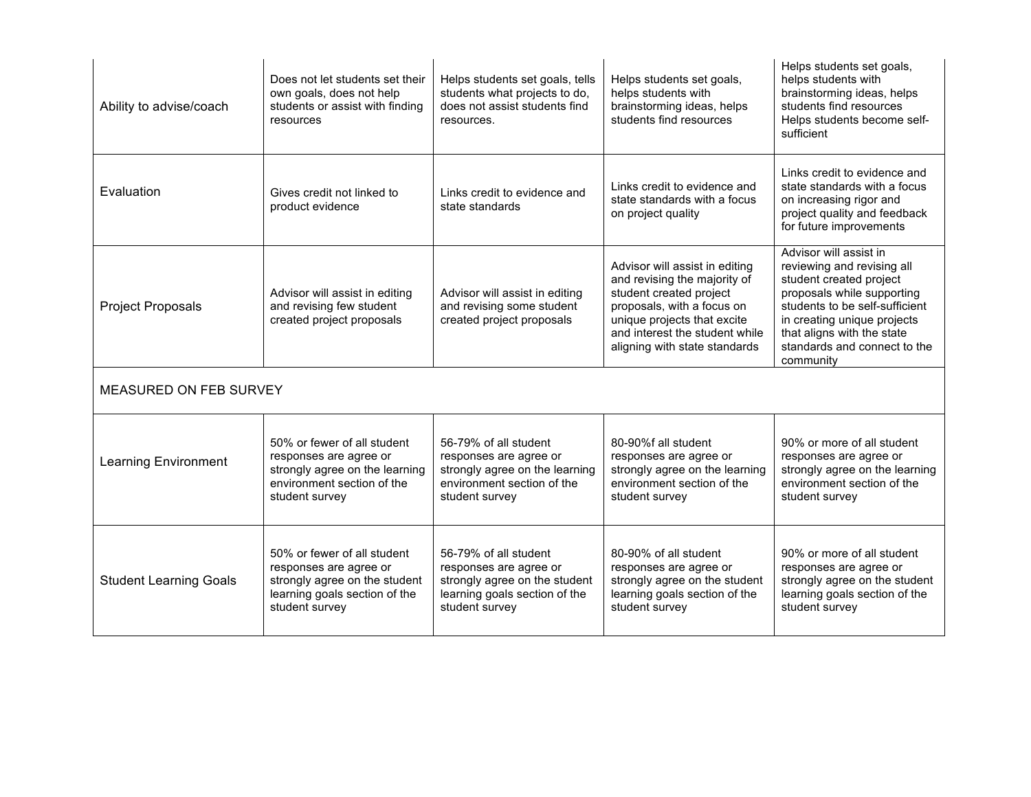| Ability to advise/coach       | Does not let students set their<br>own goals, does not help<br>students or assist with finding<br>resources                               | Helps students set goals, tells<br>students what projects to do,<br>does not assist students find<br>resources.                     | Helps students set goals,<br>helps students with<br>brainstorming ideas, helps<br>students find resources                                                                                                                 | Helps students set goals,<br>helps students with<br>brainstorming ideas, helps<br>students find resources<br>Helps students become self-<br>sufficient                                                                                                    |  |
|-------------------------------|-------------------------------------------------------------------------------------------------------------------------------------------|-------------------------------------------------------------------------------------------------------------------------------------|---------------------------------------------------------------------------------------------------------------------------------------------------------------------------------------------------------------------------|-----------------------------------------------------------------------------------------------------------------------------------------------------------------------------------------------------------------------------------------------------------|--|
| Evaluation                    | Gives credit not linked to<br>product evidence                                                                                            | Links credit to evidence and<br>state standards                                                                                     | Links credit to evidence and<br>state standards with a focus<br>on project quality                                                                                                                                        | Links credit to evidence and<br>state standards with a focus<br>on increasing rigor and<br>project quality and feedback<br>for future improvements                                                                                                        |  |
| <b>Project Proposals</b>      | Advisor will assist in editing<br>and revising few student<br>created project proposals                                                   | Advisor will assist in editing<br>and revising some student<br>created project proposals                                            | Advisor will assist in editing<br>and revising the majority of<br>student created project<br>proposals, with a focus on<br>unique projects that excite<br>and interest the student while<br>aligning with state standards | Advisor will assist in<br>reviewing and revising all<br>student created project<br>proposals while supporting<br>students to be self-sufficient<br>in creating unique projects<br>that aligns with the state<br>standards and connect to the<br>community |  |
| MEASURED ON FEB SURVEY        |                                                                                                                                           |                                                                                                                                     |                                                                                                                                                                                                                           |                                                                                                                                                                                                                                                           |  |
| <b>Learning Environment</b>   | 50% or fewer of all student<br>responses are agree or<br>strongly agree on the learning<br>environment section of the<br>student survey   | 56-79% of all student<br>responses are agree or<br>strongly agree on the learning<br>environment section of the<br>student survey   | 80-90%f all student<br>responses are agree or<br>strongly agree on the learning<br>environment section of the<br>student survey                                                                                           | 90% or more of all student<br>responses are agree or<br>strongly agree on the learning<br>environment section of the<br>student survey                                                                                                                    |  |
| <b>Student Learning Goals</b> | 50% or fewer of all student<br>responses are agree or<br>strongly agree on the student<br>learning goals section of the<br>student survey | 56-79% of all student<br>responses are agree or<br>strongly agree on the student<br>learning goals section of the<br>student survey | 80-90% of all student<br>responses are agree or<br>strongly agree on the student<br>learning goals section of the<br>student survey                                                                                       | 90% or more of all student<br>responses are agree or<br>strongly agree on the student<br>learning goals section of the<br>student survey                                                                                                                  |  |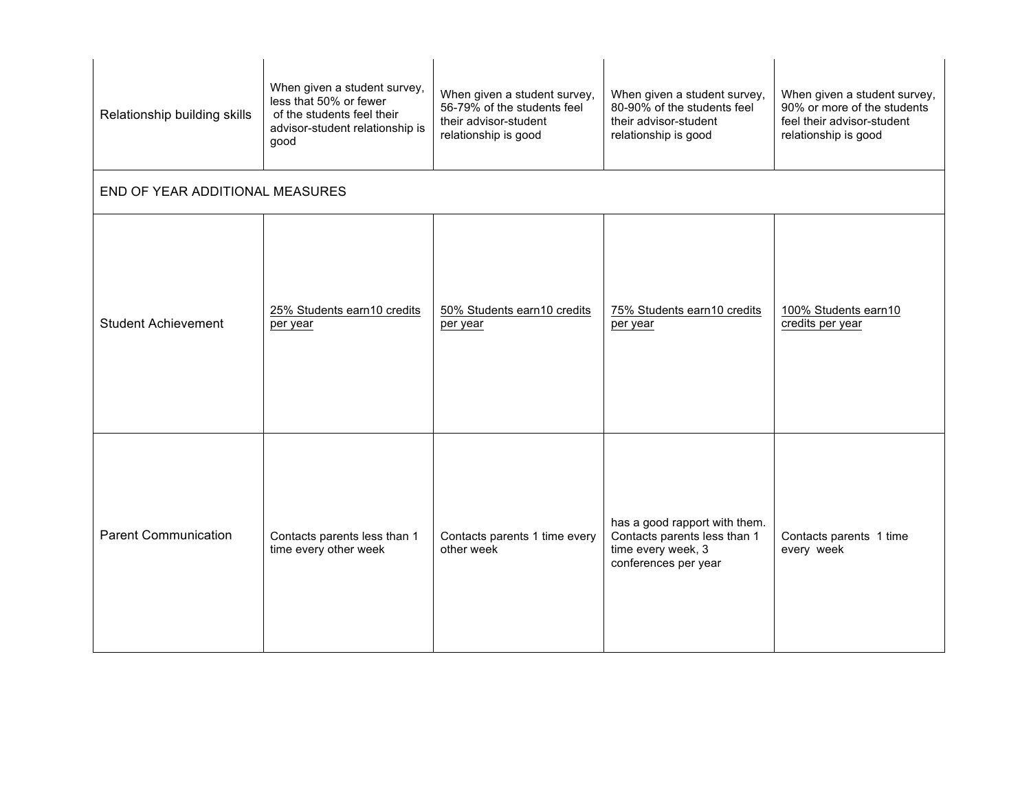| Relationship building skills    | When given a student survey,<br>less that 50% or fewer<br>of the students feel their<br>advisor-student relationship is<br>good | When given a student survey,<br>56-79% of the students feel<br>their advisor-student<br>relationship is good | When given a student survey,<br>80-90% of the students feel<br>their advisor-student<br>relationship is good | When given a student survey,<br>90% or more of the students<br>feel their advisor-student<br>relationship is good |
|---------------------------------|---------------------------------------------------------------------------------------------------------------------------------|--------------------------------------------------------------------------------------------------------------|--------------------------------------------------------------------------------------------------------------|-------------------------------------------------------------------------------------------------------------------|
| END OF YEAR ADDITIONAL MEASURES |                                                                                                                                 |                                                                                                              |                                                                                                              |                                                                                                                   |
| <b>Student Achievement</b>      | 25% Students earn10 credits<br>per year                                                                                         | 50% Students earn10 credits<br>per year                                                                      | 75% Students earn10 credits<br>per year                                                                      | 100% Students earn10<br>credits per year                                                                          |
| <b>Parent Communication</b>     | Contacts parents less than 1<br>time every other week                                                                           | Contacts parents 1 time every<br>other week                                                                  | has a good rapport with them.<br>Contacts parents less than 1<br>time every week, 3<br>conferences per year  | Contacts parents 1 time<br>every week                                                                             |